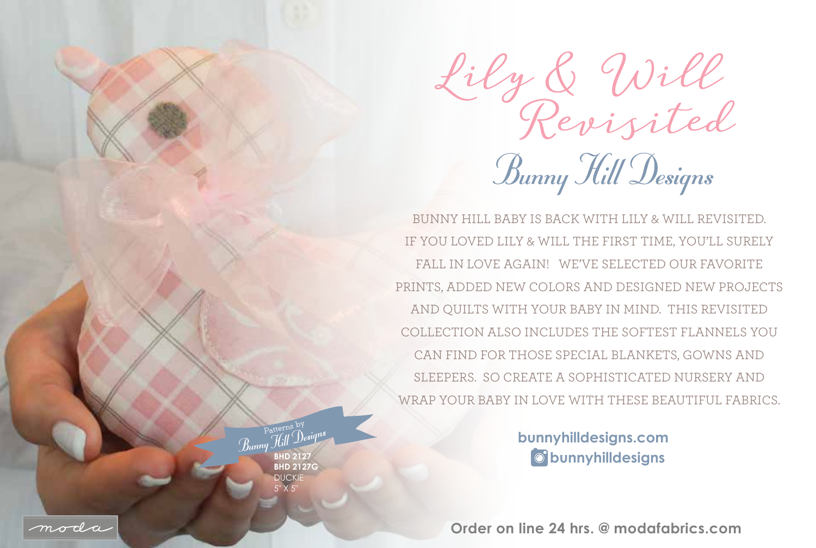Lily & Will<br>Revisited Bunny Hill Designs

BUNNY HILL BABY IS BACK WITH LILY & WILL REVISITED. IF YOU LOVED LILY & WILL THE FIRST TIME, YOU'LL SURELY FALL IN LOVE AGAIN! WE'VE SELECTED OUR FAVORITE PRINTS, ADDED NEW COLORS AND DESIGNED NEW PROJECTS AND QUILTS WITH YOUR BABY IN MIND. THIS REVISITED COLLECTION ALSO INCLUDES THE SOFTEST FLANNELS YOU CAN FIND FOR THOSE SPECIAL BLANKETS, GOWNS AND SLEEPERS. SO CREATE A SOPHISTICATED NURSERY AND WRAP YOUR BABY IN LOVE WITH THESE BEAUTIFUL FABRICS.

> **bunnyhilldesigns bunnyhilldesigns.com**

**Order on line 24 hrs. @ modafabrics.com**



**BHD 2127 BHD 2127G**  DUCKIE 5" X 5"

Patterns by

 $\overline{R}_{mm}$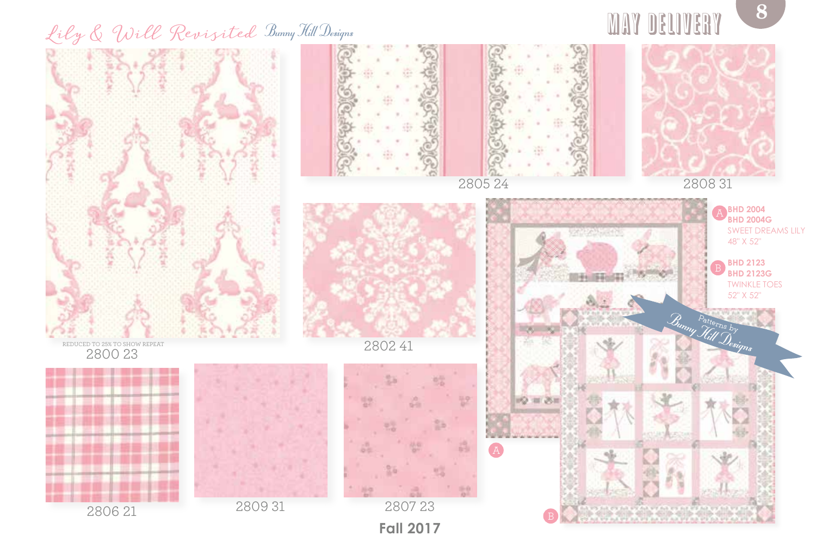## Lily & Will Revisited Bunny Hill Designs



may delivery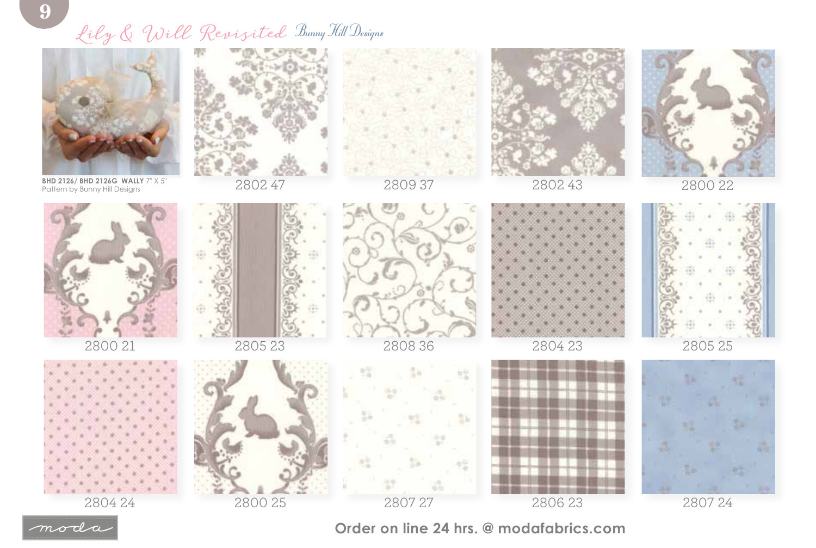## Lily & Will Revisited Bunny Hill Designs



**BHD 2126/ BHD 2126G WALLY**  $7"$  X 5" Pattern by Bunny Hill Designs



2802 47







2802 43



2800 22









2808 36



2804 23



2805 25



2804 24





2806 23

2807 24



**Order on line 24 hrs. @ modafabrics.com**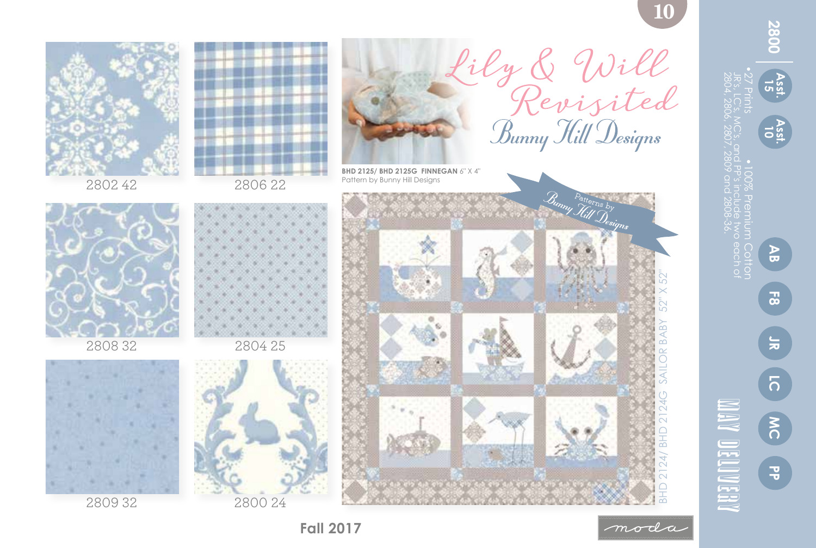**AB LC Asst. 15 Asst. 10 F8**

**PP 2800**

**800** 

•27 Prints •100% Premium Cotton

**MC JR**

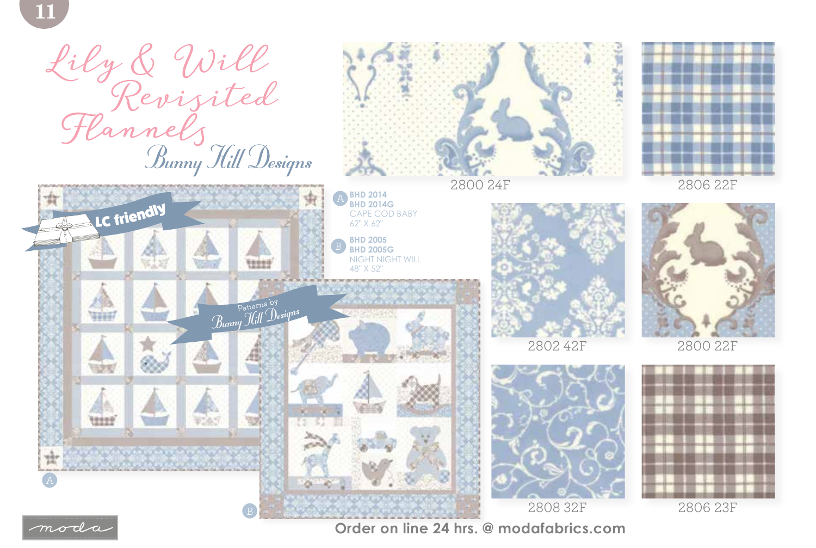





**Order on line 24 hrs. @ modafabrics.com**